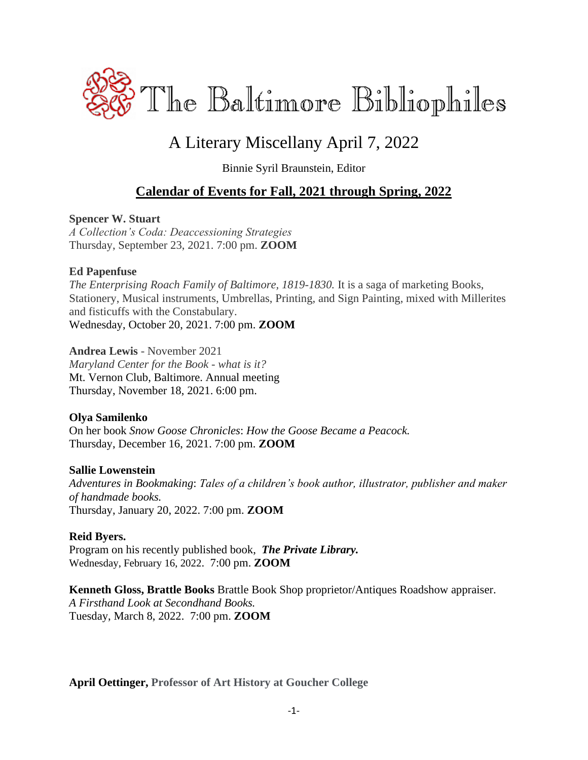

# A Literary Miscellany April 7, 2022

Binnie Syril Braunstein, Editor

### **Calendar of Events for Fall, 2021 through Spring, 2022**

#### **Spencer W. Stuart**

*A Collection's Coda: Deaccessioning Strategies* Thursday, September 23, 2021. 7:00 pm. **ZOOM**

#### **Ed Papenfuse**

*The Enterprising Roach Family of Baltimore, 1819-1830.* It is a saga of marketing Books, Stationery, Musical instruments, Umbrellas, Printing, and Sign Painting, mixed with Millerites and fisticuffs with the Constabulary. Wednesday, October 20, 2021. 7:00 pm. **ZOOM**

**Andrea Lewis** - November 2021 *Maryland Center for the Book - what is it?* Mt. Vernon Club, Baltimore. Annual meeting Thursday, November 18, 2021. 6:00 pm.

#### **Olya Samilenko**

On her book *Snow Goose Chronicles*: *How the Goose Became a Peacock.* Thursday, December 16, 2021. 7:00 pm. **ZOOM**

#### **Sallie Lowenstein**

*Adventures in Bookmaking*: *Tales of a children's book author, illustrator, publisher and maker of handmade books.* Thursday, January 20, 2022. 7:00 pm. **ZOOM**

#### **Reid Byers.**

Program on his recently published book,*The Private Library.* Wednesday, February 16, 2022. 7:00 pm. **ZOOM**

**Kenneth Gloss, Brattle Books** Brattle Book Shop proprietor/Antiques Roadshow appraiser. *A Firsthand Look at Secondhand Books.* Tuesday, March 8, 2022. 7:00 pm. **ZOOM**

**April Oettinger, Professor of Art History at Goucher College**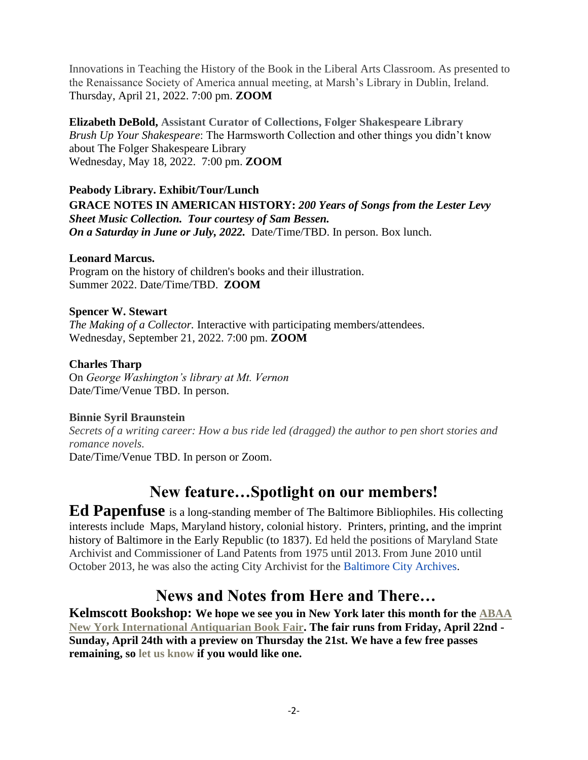Innovations in Teaching the History of the Book in the Liberal Arts Classroom. As presented to the Renaissance Society of America annual meeting, at Marsh's Library in Dublin, Ireland. Thursday, April 21, 2022. 7:00 pm. **ZOOM**

**Elizabeth DeBold, Assistant Curator of Collections, Folger Shakespeare Library** *Brush Up Your Shakespeare*: The Harmsworth Collection and other things you didn't know about The Folger Shakespeare Library Wednesday, May 18, 2022. 7:00 pm. **ZOOM**

#### **Peabody Library. Exhibit/Tour/Lunch GRACE NOTES IN AMERICAN HISTORY:** *200 Years of Songs from the Lester Levy Sheet Music Collection. Tour courtesy of Sam Bessen. On a Saturday in June or July, 2022.* Date/Time/TBD. In person. Box lunch.

#### **Leonard Marcus.**

Program on the history of children's books and their illustration. Summer 2022. Date/Time/TBD. **ZOOM**

#### **Spencer W. Stewart**

*The Making of a Collector.* Interactive with participating members/attendees. Wednesday, September 21, 2022. 7:00 pm. **ZOOM**

#### **Charles Tharp**

On *George Washington's library at Mt. Vernon* Date/Time/Venue TBD. In person.

#### **Binnie Syril Braunstein**

*Secrets of a writing career: How a bus ride led (dragged) the author to pen short stories and romance novels.* Date/Time/Venue TBD. In person or Zoom.

## **New feature…Spotlight on our members!**

**Ed Papenfuse** is a long-standing member of The Baltimore Bibliophiles. His collecting interests include Maps, Maryland history, colonial history. Printers, printing, and the imprint history of Baltimore in the Early Republic (to 1837). Ed held the positions of Maryland State Archivist and Commissioner of Land Patents from 1975 until 2013. From June 2010 until October 2013, he was also the acting City Archivist for the [Baltimore City Archives.](https://en.wikipedia.org/wiki/Baltimore_City_Archives)

## **News and Notes from Here and There…**

**Kelmscott Bookshop: We hope we see you in New York later this month for the [ABAA](https://www.nyantiquarianbookfair.com/?utm_source=constantcontact&utm_medium=email&utm_campaign=newsletter)  [New York International Antiquarian Book Fair.](https://www.nyantiquarianbookfair.com/?utm_source=constantcontact&utm_medium=email&utm_campaign=newsletter) The fair runs from Friday, April 22nd - Sunday, April 24th with a preview on Thursday the 21st. We have a few free passes remaining, so let us know if you would like one.**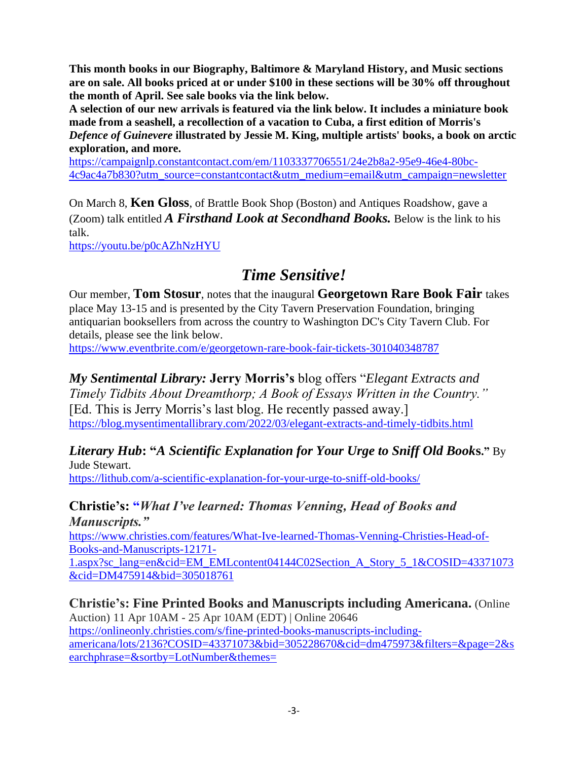**This month books in our Biography, Baltimore & Maryland History, and Music sections are on sale. All books priced at or under \$100 in these sections will be 30% off throughout the month of April. See sale books via the link below.**

**A selection of our new arrivals is featured via the link below. It includes a miniature book made from a seashell, a recollection of a vacation to Cuba, a first edition of Morris's**  *Defence of Guinevere* **illustrated by Jessie M. King, multiple artists' books, a book on arctic exploration, and more.**

[https://campaignlp.constantcontact.com/em/1103337706551/24e2b8a2-95e9-46e4-80bc-](https://campaignlp.constantcontact.com/em/1103337706551/24e2b8a2-95e9-46e4-80bc-4c9ac4a7b830?utm_source=constantcontact&utm_medium=email&utm_campaign=newsletter)[4c9ac4a7b830?utm\\_source=constantcontact&utm\\_medium=email&utm\\_campaign=newsletter](https://campaignlp.constantcontact.com/em/1103337706551/24e2b8a2-95e9-46e4-80bc-4c9ac4a7b830?utm_source=constantcontact&utm_medium=email&utm_campaign=newsletter)

On March 8, **Ken Gloss**, of Brattle Book Shop (Boston) and Antiques Roadshow, gave a (Zoom) talk entitled *A Firsthand Look at Secondhand Books.* Below is the link to his talk.

<https://youtu.be/p0cAZhNzHYU>

### *Time Sensitive!*

Our member, **Tom Stosur**, notes that the inaugural **Georgetown Rare Book Fair** takes place May 13-15 and is presented by the City Tavern Preservation Foundation, bringing antiquarian booksellers from across the country to Washington DC's City Tavern Club. For details, please see the link below.

<https://www.eventbrite.com/e/georgetown-rare-book-fair-tickets-301040348787>

*My Sentimental Library:* **Jerry Morris's** blog offers "*Elegant Extracts and* 

*Timely Tidbits About Dreamthorp; A Book of Essays Written in the Country."* [Ed. This is Jerry Morris's last blog. He recently passed away.] <https://blog.mysentimentallibrary.com/2022/03/elegant-extracts-and-timely-tidbits.html>

### *Literary Hub***: "***A Scientific Explanation for Your Urge to Sniff Old Book***s."** By

Jude Stewart. <https://lithub.com/a-scientific-explanation-for-your-urge-to-sniff-old-books/>

#### **Christie's: "***What I've learned: Thomas Venning, Head of Books and Manuscripts."*

[https://www.christies.com/features/What-Ive-learned-Thomas-Venning-Christies-Head-of-](https://www.christies.com/features/What-Ive-learned-Thomas-Venning-Christies-Head-of-Books-and-Manuscripts-12171-1.aspx?sc_lang=en&cid=EM_EMLcontent04144C02Section_A_Story_5_1&COSID=43371073&cid=DM475914&bid=305018761)[Books-and-Manuscripts-12171-](https://www.christies.com/features/What-Ive-learned-Thomas-Venning-Christies-Head-of-Books-and-Manuscripts-12171-1.aspx?sc_lang=en&cid=EM_EMLcontent04144C02Section_A_Story_5_1&COSID=43371073&cid=DM475914&bid=305018761)

[1.aspx?sc\\_lang=en&cid=EM\\_EMLcontent04144C02Section\\_A\\_Story\\_5\\_1&COSID=43371073](https://www.christies.com/features/What-Ive-learned-Thomas-Venning-Christies-Head-of-Books-and-Manuscripts-12171-1.aspx?sc_lang=en&cid=EM_EMLcontent04144C02Section_A_Story_5_1&COSID=43371073&cid=DM475914&bid=305018761) [&cid=DM475914&bid=305018761](https://www.christies.com/features/What-Ive-learned-Thomas-Venning-Christies-Head-of-Books-and-Manuscripts-12171-1.aspx?sc_lang=en&cid=EM_EMLcontent04144C02Section_A_Story_5_1&COSID=43371073&cid=DM475914&bid=305018761)

**Christie's: Fine Printed Books and Manuscripts including Americana.** (Online Auction) 11 Apr 10AM - 25 Apr 10AM (EDT) | Online 20646 [https://onlineonly.christies.com/s/fine-printed-books-manuscripts-including](https://onlineonly.christies.com/s/fine-printed-books-manuscripts-including-americana/lots/2136?COSID=43371073&bid=305228670&cid=dm475973&filters=&page=2&searchphrase=&sortby=LotNumber&themes=)[americana/lots/2136?COSID=43371073&bid=305228670&cid=dm475973&filters=&page=2&s](https://onlineonly.christies.com/s/fine-printed-books-manuscripts-including-americana/lots/2136?COSID=43371073&bid=305228670&cid=dm475973&filters=&page=2&searchphrase=&sortby=LotNumber&themes=) [earchphrase=&sortby=LotNumber&themes=](https://onlineonly.christies.com/s/fine-printed-books-manuscripts-including-americana/lots/2136?COSID=43371073&bid=305228670&cid=dm475973&filters=&page=2&searchphrase=&sortby=LotNumber&themes=)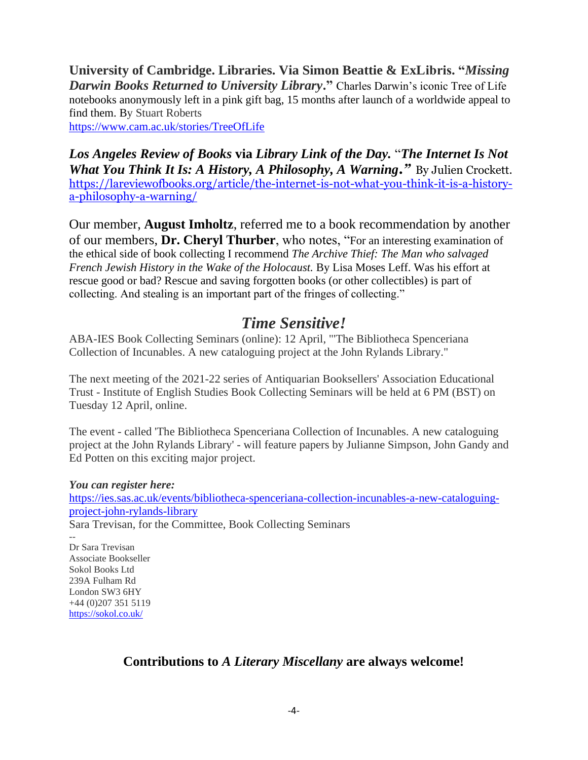**University of Cambridge. Libraries. Via Simon Beattie & ExLibris. "***Missing Darwin Books Returned to University Library***."** Charles Darwin's iconic Tree of Life notebooks anonymously left in a pink gift bag, 15 months after launch of a worldwide appeal to find them. By Stuart Roberts <https://www.cam.ac.uk/stories/TreeOfLife>

*Los Angeles Review of Books* **via** *Library Link of the Day.* "*The Internet Is Not What You Think It Is: A History, A Philosophy, A Warning."* By Julien Crockett. [https://lareviewofbooks.org/article/the-internet-is-not-what-you-think-it-is-a-history](https://lareviewofbooks.org/article/the-internet-is-not-what-you-think-it-is-a-history-a-philosophy-a-warning/)[a-philosophy-a-warning/](https://lareviewofbooks.org/article/the-internet-is-not-what-you-think-it-is-a-history-a-philosophy-a-warning/)

Our member, **August Imholtz**, referred me to a book recommendation by another of our members, **Dr. Cheryl Thurber**, who notes, "For an interesting examination of the ethical side of book collecting I recommend *The Archive Thief: The Man who salvaged French Jewish History in the Wake of the Holocaust.* By Lisa Moses Leff. Was his effort at rescue good or bad? Rescue and saving forgotten books (or other collectibles) is part of collecting. And stealing is an important part of the fringes of collecting."

### *Time Sensitive!*

ABA-IES Book Collecting Seminars (online): 12 April, "'The Bibliotheca Spenceriana Collection of Incunables. A new cataloguing project at the John Rylands Library."

The next meeting of the 2021-22 series of Antiquarian Booksellers' Association Educational Trust - Institute of English Studies Book Collecting Seminars will be held at 6 PM (BST) on Tuesday 12 April, online.

The event - called 'The Bibliotheca Spenceriana Collection of Incunables. A new cataloguing project at the John Rylands Library' - will feature papers by Julianne Simpson, John Gandy and Ed Potten on this exciting major project.

*You can register here:*

[https://ies.sas.ac.uk/events/bibliotheca-spenceriana-collection-incunables-a-new-cataloguing](https://ies.sas.ac.uk/events/bibliotheca-spenceriana-collection-incunables-a-new-cataloguing-project-john-rylands-library)[project-john-rylands-library](https://ies.sas.ac.uk/events/bibliotheca-spenceriana-collection-incunables-a-new-cataloguing-project-john-rylands-library)

Sara Trevisan, for the Committee, Book Collecting Seminars

-- Dr Sara Trevisan Associate Bookseller Sokol Books Ltd 239A Fulham Rd London SW3 6HY +44 (0)207 351 5119 <https://sokol.co.uk/>

### **Contributions to** *A Literary Miscellany* **are always welcome!**